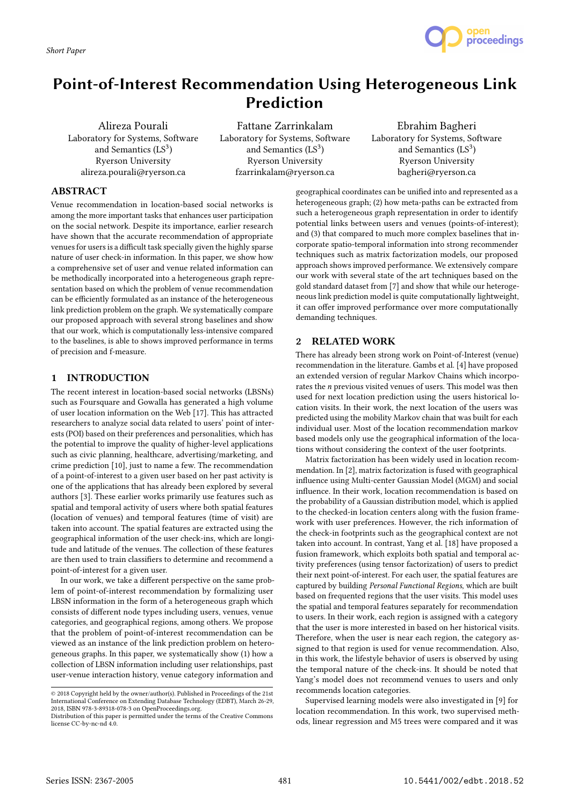*Short Paper*



# Point-of-Interest Recommendation Using Heterogeneous Link Prediction

Alireza Pourali Laboratory for Systems, Software and Semantics  $(LS<sup>3</sup>)$ Ryerson University alireza.pourali@ryerson.ca

Fattane Zarrinkalam Laboratory for Systems, Software and Semantics  $(LS<sup>3</sup>)$ Ryerson University fzarrinkalam@ryerson.ca

# Ebrahim Bagheri Laboratory for Systems, Software and Semantics  $(LS<sup>3</sup>)$ Ryerson University bagheri@ryerson.ca

## ABSTRACT

Venue recommendation in location-based social networks is among the more important tasks that enhances user participation on the social network. Despite its importance, earlier research have shown that the accurate recommendation of appropriate venues for users is a difficult task specially given the highly sparse nature of user check-in information. In this paper, we show how a comprehensive set of user and venue related information can be methodically incorporated into a heterogeneous graph representation based on which the problem of venue recommendation can be efficiently formulated as an instance of the heterogeneous link prediction problem on the graph. We systematically compare our proposed approach with several strong baselines and show that our work, which is computationally less-intensive compared to the baselines, is able to shows improved performance in terms of precision and f-measure.

## 1 INTRODUCTION

The recent interest in location-based social networks (LBSNs) such as Foursquare and Gowalla has generated a high volume of user location information on the Web [17]. This has attracted researchers to analyze social data related to users' point of interests (POI) based on their preferences and personalities, which has the potential to improve the quality of higher-level applications such as civic planning, healthcare, advertising/marketing, and crime prediction [10], just to name a few. The recommendation of a point-of-interest to a given user based on her past activity is one of the applications that has already been explored by several authors [3]. These earlier works primarily use features such as spatial and temporal activity of users where both spatial features (location of venues) and temporal features (time of visit) are taken into account. The spatial features are extracted using the geographical information of the user check-ins, which are longitude and latitude of the venues. The collection of these features are then used to train classifiers to determine and recommend a point-of-interest for a given user.

In our work, we take a different perspective on the same problem of point-of-interest recommendation by formalizing user LBSN information in the form of a heterogeneous graph which consists of different node types including users, venues, venue categories, and geographical regions, among others. We propose that the problem of point-of-interest recommendation can be viewed as an instance of the link prediction problem on heterogeneous graphs. In this paper, we systematically show (1) how a collection of LBSN information including user relationships, past user-venue interaction history, venue category information and

geographical coordinates can be unified into and represented as a heterogeneous graph; (2) how meta-paths can be extracted from such a heterogeneous graph representation in order to identify potential links between users and venues (points-of-interest); and (3) that compared to much more complex baselines that incorporate spatio-temporal information into strong recommender techniques such as matrix factorization models, our proposed approach shows improved performance. We extensively compare our work with several state of the art techniques based on the gold standard dataset from [7] and show that while our heterogeneous link prediction model is quite computationally lightweight, it can offer improved performance over more computationally demanding techniques.

## 2 RELATED WORK

There has already been strong work on Point-of-Interest (venue) recommendation in the literature. Gambs et al. [4] have proposed an extended version of regular Markov Chains which incorporates the n previous visited venues of users. This model was then used for next location prediction using the users historical location visits. In their work, the next location of the users was predicted using the mobility Markov chain that was built for each individual user. Most of the location recommendation markov based models only use the geographical information of the locations without considering the context of the user footprints.

Matrix factorization has been widely used in location recommendation. In [2], matrix factorization is fused with geographical influence using Multi-center Gaussian Model (MGM) and social influence. In their work, location recommendation is based on the probability of a Gaussian distribution model, which is applied to the checked-in location centers along with the fusion framework with user preferences. However, the rich information of the check-in footprints such as the geographical context are not taken into account. In contrast, Yang et al. [18] have proposed a fusion framework, which exploits both spatial and temporal activity preferences (using tensor factorization) of users to predict their next point-of-interest. For each user, the spatial features are captured by building Personal Functional Regions, which are built based on frequented regions that the user visits. This model uses the spatial and temporal features separately for recommendation to users. In their work, each region is assigned with a category that the user is more interested in based on her historical visits. Therefore, when the user is near each region, the category assigned to that region is used for venue recommendation. Also, in this work, the lifestyle behavior of users is observed by using the temporal nature of the check-ins. It should be noted that Yang's model does not recommend venues to users and only recommends location categories.

Supervised learning models were also investigated in [9] for location recommendation. In this work, two supervised methods, linear regression and M5 trees were compared and it was

<sup>©</sup> 2018 Copyright held by the owner/author(s). Published in Proceedings of the 21st International Conference on Extending Database Technology (EDBT), March 26-29, 2018, ISBN 978-3-89318-078-3 on OpenProceedings.org.

Distribution of this paper is permitted under the terms of the Creative Commons license CC-by-nc-nd 4.0.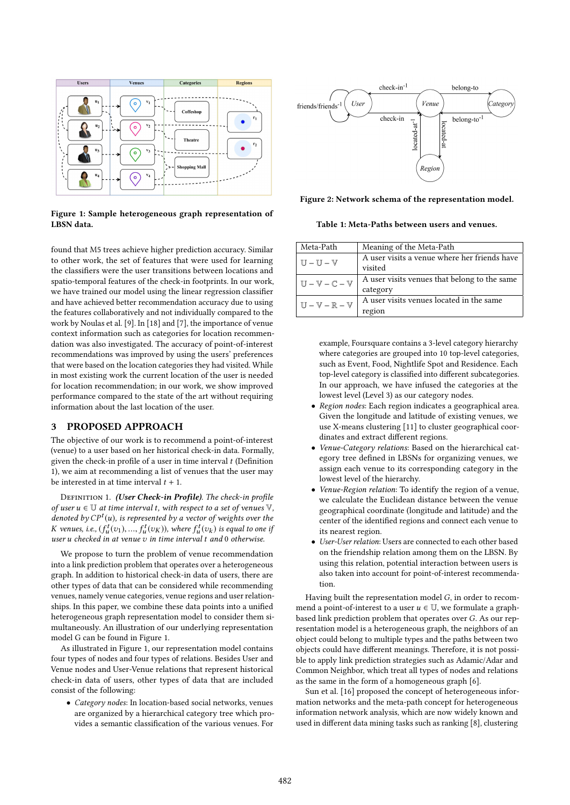

Figure 1: Sample heterogeneous graph representation of LBSN data.

found that M5 trees achieve higher prediction accuracy. Similar to other work, the set of features that were used for learning the classifiers were the user transitions between locations and spatio-temporal features of the check-in footprints. In our work, we have trained our model using the linear regression classifier and have achieved better recommendation accuracy due to using the features collaboratively and not individually compared to the work by Noulas et al. [9]. In [18] and [7], the importance of venue context information such as categories for location recommendation was also investigated. The accuracy of point-of-interest recommendations was improved by using the users' preferences that were based on the location categories they had visited. While in most existing work the current location of the user is needed for location recommendation; in our work, we show improved performance compared to the state of the art without requiring information about the last location of the user.

## 3 PROPOSED APPROACH

The objective of our work is to recommend a point-of-interest (venue) to a user based on her historical check-in data. Formally, given the check-in profile of a user in time interval  $t$  (Definition 1), we aim at recommending a list of venues that the user may be interested in at time interval  $t + 1$ .

DEFINITION 1. (User Check-in Profile). The check-in profile of user  $u \in \mathbb{U}$  at time interval t, with respect to a set of venues  $\mathbb{V}$ , denoted by  $CP<sup>t</sup>(u)$ , is represented by a vector of weights over the <br>K venues i.e.  $(f<sup>t</sup>(z<sub>x</sub>) - f<sup>t</sup>(z<sub>x</sub>)$  where  $f<sup>t</sup>(z<sub>x</sub>)$  is equal to one if K venues, i.e.,  $(f_u^t(v_1), ..., f_u^t(v_K))$ , where  $f_u^t(v_k)$  is equal to one if<br>user u checked in at venue z, in time interval t and 0 otherwise user u checked in at venue v in time interval t and <sup>0</sup> otherwise.

We propose to turn the problem of venue recommendation into a link prediction problem that operates over a heterogeneous graph. In addition to historical check-in data of users, there are other types of data that can be considered while recommending venues, namely venue categories, venue regions and user relationships. In this paper, we combine these data points into a unified heterogeneous graph representation model to consider them simultaneously. An illustration of our underlying representation model G can be found in Figure 1.

As illustrated in Figure 1, our representation model contains four types of nodes and four types of relations. Besides User and Venue nodes and User-Venue relations that represent historical check-in data of users, other types of data that are included consist of the following:

• Category nodes: In location-based social networks, venues are organized by a hierarchical category tree which provides a semantic classification of the various venues. For



Figure 2: Network schema of the representation model.

Table 1: Meta-Paths between users and venues.

| Meta-Path                                     | Meaning of the Meta-Path                     |
|-----------------------------------------------|----------------------------------------------|
| $U-U-V$                                       | A user visits a venue where her friends have |
|                                               | visited                                      |
| $U - V - C - V$                               | A user visits venues that belong to the same |
|                                               | category                                     |
| $\mathbb{U}-\mathbb{V}-\mathbb{R}-\mathbb{V}$ | A user visits venues located in the same     |
|                                               | region                                       |

example, Foursquare contains a 3-level category hierarchy where categories are grouped into 10 top-level categories, such as Event, Food, Nightlife Spot and Residence. Each top-level category is classified into different subcategories. In our approach, we have infused the categories at the lowest level (Level 3) as our category nodes.

- Region nodes: Each region indicates a geographical area. Given the longitude and latitude of existing venues, we use X-means clustering [11] to cluster geographical coordinates and extract different regions.
- Venue-Category relations: Based on the hierarchical category tree defined in LBSNs for organizing venues, we assign each venue to its corresponding category in the lowest level of the hierarchy.
- Venue-Region relation: To identify the region of a venue, we calculate the Euclidean distance between the venue geographical coordinate (longitude and latitude) and the center of the identified regions and connect each venue to its nearest region.
- User-User relation: Users are connected to each other based on the friendship relation among them on the LBSN. By using this relation, potential interaction between users is also taken into account for point-of-interest recommendation.

Having built the representation model G, in order to recommend a point-of-interest to a user  $u \in U$ , we formulate a graphbased link prediction problem that operates over G. As our representation model is a heterogeneous graph, the neighbors of an object could belong to multiple types and the paths between two objects could have different meanings. Therefore, it is not possible to apply link prediction strategies such as Adamic/Adar and Common Neighbor, which treat all types of nodes and relations as the same in the form of a homogeneous graph [6].

Sun et al. [16] proposed the concept of heterogeneous information networks and the meta-path concept for heterogeneous information network analysis, which are now widely known and used in different data mining tasks such as ranking [8], clustering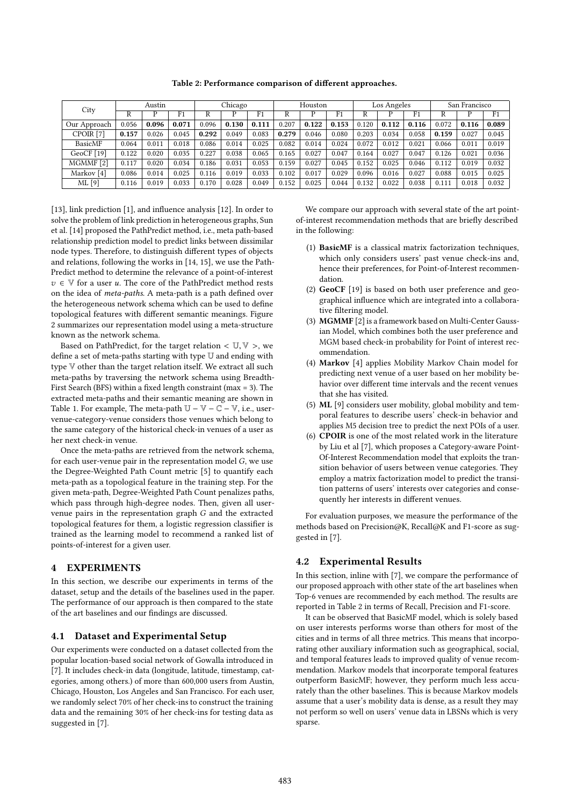Table 2: Performance comparison of different approaches.

| City                  | Austin |       |                | Chicago |       |                | Houston |       |       | Los Angeles |       |                | San Francisco |       |       |
|-----------------------|--------|-------|----------------|---------|-------|----------------|---------|-------|-------|-------------|-------|----------------|---------------|-------|-------|
|                       | R      |       | F <sub>1</sub> | R       |       | F <sub>1</sub> |         |       | F1    |             |       | F <sub>1</sub> |               |       | F1    |
| Our Approach          | 0.056  | 0.096 | 0.071          | 0.096   | 0.130 | 0.111          | 0.207   | 0.122 | 0.153 | 0.120       | 0.112 | 0.116          | 0.072         | 0.116 | 0.089 |
| CPOIR <sub>[7]</sub>  | 0.157  | 0.026 | 0.045          | 0.292   | 0.049 | 0.083          | 0.279   | 0.046 | 0.080 | 0.203       | 0.034 | 0.058          | 0.159         | 0.027 | 0.045 |
| BasicMF               | 0.064  | 0.011 | 0.018          | 0.086   | 0.014 | 0.025          | 0.082   | 0.014 | 0.024 | 0.072       | 0.012 | 0.021          | 0.066         | 0.011 | 0.019 |
| GeoCF $[19]$          | 0.122  | 0.020 | 0.035          | 0.227   | 0.038 | 0.065          | 0.165   | 0.027 | 0.047 | 0.164       | 0.027 | 0.047          | 0.126         | 0.021 | 0.036 |
| MGMMF[2]              | 0.117  | 0.020 | 0.034          | 0.186   | 0.031 | 0.053          | 0.159   | 0.027 | 0.045 | 0.152       | 0.025 | 0.046          | 0.112         | 0.019 | 0.032 |
| Markov <sup>[4]</sup> | 0.086  | 0.014 | 0.025          | 0.116   | 0.019 | 0.033          | 0.102   | 0.017 | 0.029 | 0.096       | 0.016 | 0.027          | 0.088         | 0.015 | 0.025 |
| $ML$ [9]              | 0.116  | 0.019 | 0.033          | 0.170   | 0.028 | 0.049          | 0.152   | 0.025 | 0.044 | 0.132       | 0.022 | 0.038          | 0.111         | 0.018 | 0.032 |

[13], link prediction [1], and influence analysis [12]. In order to solve the problem of link prediction in heterogeneous graphs, Sun et al. [14] proposed the PathPredict method, i.e., meta path-based relationship prediction model to predict links between dissimilar node types. Therefore, to distinguish different types of objects and relations, following the works in [14, 15], we use the Path-Predict method to determine the relevance of a point-of-interest  $v \in V$  for a user u. The core of the PathPredict method rests on the idea of meta-paths. A meta-path is a path defined over the heterogeneous network schema which can be used to define topological features with different semantic meanings. Figure 2 summarizes our representation model using a meta-structure known as the network schema.

Based on PathPredict, for the target relation  $< U, V >$ , we define a set of meta-paths starting with type U and ending with type V other than the target relation itself. We extract all such meta-paths by traversing the network schema using Breadth-First Search (BFS) within a fixed length constraint (max = 3). The extracted meta-paths and their semantic meaning are shown in Table 1. For example, The meta-path  $\mathbb{U} - \mathbb{V} - \mathbb{C} - \mathbb{V}$ , i.e., uservenue-category-venue considers those venues which belong to the same category of the historical check-in venues of a user as her next check-in venue.

Once the meta-paths are retrieved from the network schema, for each user-venue pair in the representation model G, we use the Degree-Weighted Path Count metric [5] to quantify each meta-path as a topological feature in the training step. For the given meta-path, Degree-Weighted Path Count penalizes paths, which pass through high-degree nodes. Then, given all uservenue pairs in the representation graph G and the extracted topological features for them, a logistic regression classifier is trained as the learning model to recommend a ranked list of points-of-interest for a given user.

## 4 EXPERIMENTS

In this section, we describe our experiments in terms of the dataset, setup and the details of the baselines used in the paper. The performance of our approach is then compared to the state of the art baselines and our findings are discussed.

#### 4.1 Dataset and Experimental Setup

Our experiments were conducted on a dataset collected from the popular location-based social network of Gowalla introduced in [7]. It includes check-in data (longitude, latitude, timestamp, categories, among others.) of more than 600,000 users from Austin, Chicago, Houston, Los Angeles and San Francisco. For each user, we randomly select 70% of her check-ins to construct the training data and the remaining 30% of her check-ins for testing data as suggested in [7].

We compare our approach with several state of the art pointof-interest recommendation methods that are briefly described in the following:

- (1) BasicMF is a classical matrix factorization techniques, which only considers users' past venue check-ins and, hence their preferences, for Point-of-Interest recommendation.
- (2) GeoCF [19] is based on both user preference and geographical influence which are integrated into a collaborative filtering model.
- (3) MGMMF [2] is a framework based on Multi-Center Gaussian Model, which combines both the user preference and MGM based check-in probability for Point of interest recommendation.
- (4) Markov [4] applies Mobility Markov Chain model for predicting next venue of a user based on her mobility behavior over different time intervals and the recent venues that she has visited.
- (5) ML [9] considers user mobility, global mobility and temporal features to describe users' check-in behavior and applies M5 decision tree to predict the next POIs of a user.
- (6) CPOIR is one of the most related work in the literature by Liu et al [7], which proposes a Category-aware Point-Of-Interest Recommendation model that exploits the transition behavior of users between venue categories. They employ a matrix factorization model to predict the transition patterns of users' interests over categories and consequently her interests in different venues.

For evaluation purposes, we measure the performance of the methods based on Precision@K, Recall@K and F1-score as suggested in [7].

#### 4.2 Experimental Results

In this section, inline with [7], we compare the performance of our proposed approach with other state of the art baselines when Top-6 venues are recommended by each method. The results are reported in Table 2 in terms of Recall, Precision and F1-score.

It can be observed that BasicMF model, which is solely based on user interests performs worse than others for most of the cities and in terms of all three metrics. This means that incorporating other auxiliary information such as geographical, social, and temporal features leads to improved quality of venue recommendation. Markov models that incorporate temporal features outperform BasicMF; however, they perform much less accurately than the other baselines. This is because Markov models assume that a user's mobility data is dense, as a result they may not perform so well on users' venue data in LBSNs which is very sparse.